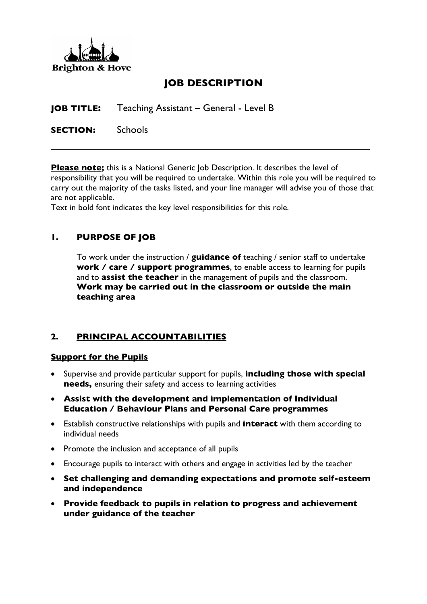

# **JOB DESCRIPTION**

**JOB TITLE:** Teaching Assistant – General - Level B

**SECTION:** Schools

**Please note;** this is a National Generic Job Description. It describes the level of responsibility that you will be required to undertake. Within this role you will be required to carry out the majority of the tasks listed, and your line manager will advise you of those that are not applicable.

Text in bold font indicates the key level responsibilities for this role.

### **1. PURPOSE OF JOB**

To work under the instruction / **guidance of** teaching / senior staff to undertake **work / care / support programmes**, to enable access to learning for pupils and to **assist the teacher** in the management of pupils and the classroom. **Work may be carried out in the classroom or outside the main teaching area**

#### **2. PRINCIPAL ACCOUNTABILITIES**

#### **Support for the Pupils**

- Supervise and provide particular support for pupils, **including those with special needs,** ensuring their safety and access to learning activities
- **Assist with the development and implementation of Individual Education / Behaviour Plans and Personal Care programmes**
- Establish constructive relationships with pupils and **interact** with them according to individual needs
- Promote the inclusion and acceptance of all pupils
- Encourage pupils to interact with others and engage in activities led by the teacher
- **Set challenging and demanding expectations and promote self-esteem and independence**
- **Provide feedback to pupils in relation to progress and achievement under guidance of the teacher**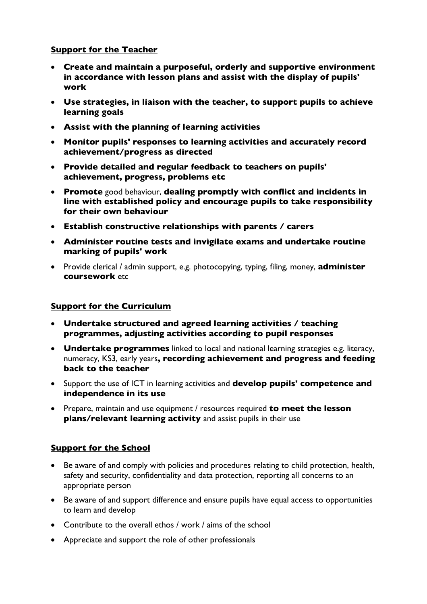### **Support for the Teacher**

- **Create and maintain a purposeful, orderly and supportive environment in accordance with lesson plans and assist with the display of pupils' work**
- **Use strategies, in liaison with the teacher, to support pupils to achieve learning goals**
- **Assist with the planning of learning activities**
- **Monitor pupils' responses to learning activities and accurately record achievement/progress as directed**
- **Provide detailed and regular feedback to teachers on pupils' achievement, progress, problems etc**
- **Promote** good behaviour, **dealing promptly with conflict and incidents in line with established policy and encourage pupils to take responsibility for their own behaviour**
- **Establish constructive relationships with parents / carers**
- **Administer routine tests and invigilate exams and undertake routine marking of pupils' work**
- Provide clerical / admin support, e.g. photocopying, typing, filing, money, **administer coursework** etc

#### **Support for the Curriculum**

- **Undertake structured and agreed learning activities / teaching programmes, adjusting activities according to pupil responses**
- **Undertake programmes** linked to local and national learning strategies e.g. literacy, numeracy, KS3, early years**, recording achievement and progress and feeding back to the teacher**
- Support the use of ICT in learning activities and **develop pupils' competence and independence in its use**
- Prepare, maintain and use equipment / resources required **to meet the lesson plans/relevant learning activity** and assist pupils in their use

#### **Support for the School**

- Be aware of and comply with policies and procedures relating to child protection, health, safety and security, confidentiality and data protection, reporting all concerns to an appropriate person
- Be aware of and support difference and ensure pupils have equal access to opportunities to learn and develop
- Contribute to the overall ethos / work / aims of the school
- Appreciate and support the role of other professionals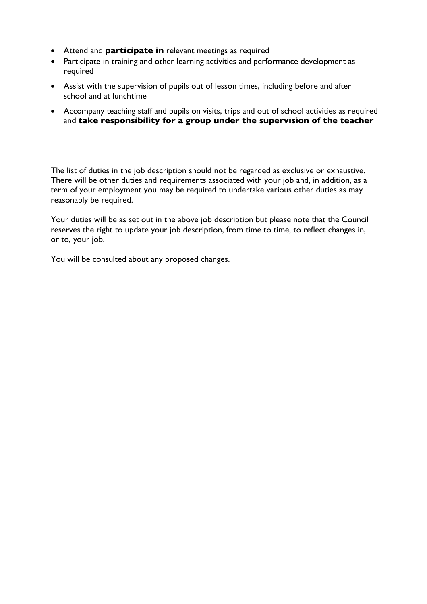- Attend and **participate in** relevant meetings as required
- Participate in training and other learning activities and performance development as required
- Assist with the supervision of pupils out of lesson times, including before and after school and at lunchtime
- Accompany teaching staff and pupils on visits, trips and out of school activities as required and **take responsibility for a group under the supervision of the teacher**

The list of duties in the job description should not be regarded as exclusive or exhaustive. There will be other duties and requirements associated with your job and, in addition, as a term of your employment you may be required to undertake various other duties as may reasonably be required.

Your duties will be as set out in the above job description but please note that the Council reserves the right to update your job description, from time to time, to reflect changes in, or to, your job.

You will be consulted about any proposed changes.